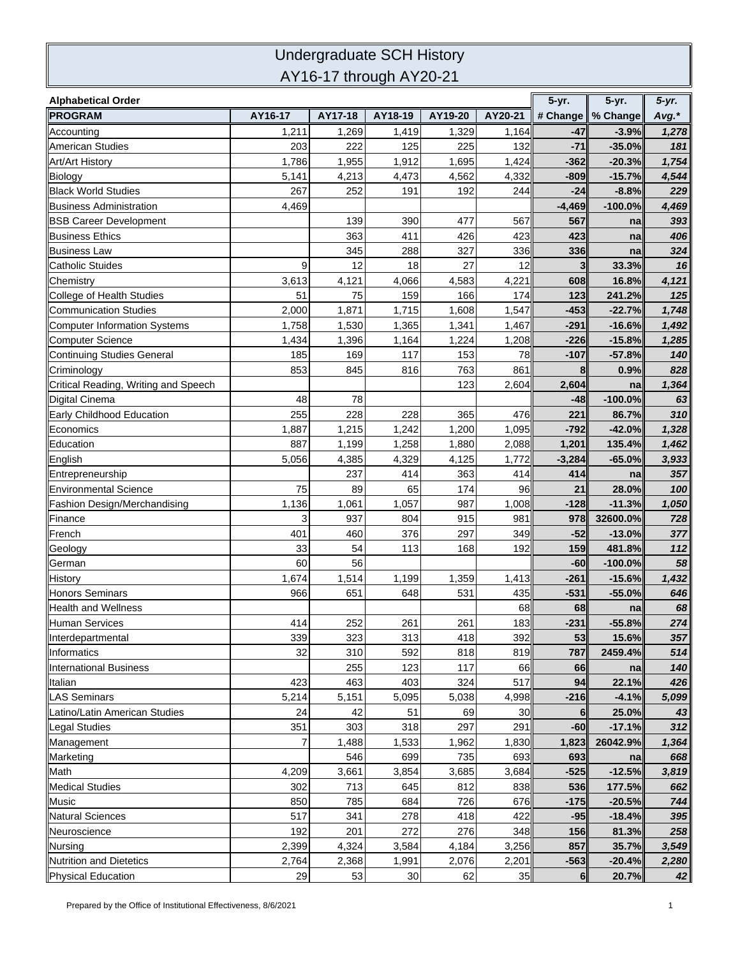## Undergraduate SCH History AY16-17 through AY20-21

| <b>Alphabetical Order</b>            |         |         |         |         |         | 5-yr.    | 5-yr.               | $5-yr.$ |
|--------------------------------------|---------|---------|---------|---------|---------|----------|---------------------|---------|
| <b>PROGRAM</b>                       | AY16-17 | AY17-18 | AY18-19 | AY19-20 | AY20-21 |          | # Change   % Change | Avg.*   |
| Accounting                           | 1,211   | 1,269   | 1,419   | 1,329   | 1,164   | -47      | $-3.9%$             | 1,278   |
| <b>American Studies</b>              | 203     | 222     | 125     | 225     | 132     | $-71$    | $-35.0%$            | 181     |
| <b>Art/Art History</b>               | 1,786   | 1,955   | 1,912   | 1,695   | 1,424   | $-362$   | $-20.3%$            | 1,754   |
| <b>Biology</b>                       | 5,141   | 4,213   | 4,473   | 4,562   | 4,332   | $-809$   | $-15.7%$            | 4,544   |
| <b>Black World Studies</b>           | 267     | 252     | 191     | 192     | 244     | $-24$    | $-8.8%$             | 229     |
| <b>Business Administration</b>       | 4,469   |         |         |         |         | $-4,469$ | $-100.0%$           | 4,469   |
| <b>BSB Career Development</b>        |         | 139     | 390     | 477     | 567     | 567      | na                  | 393     |
| <b>Business Ethics</b>               |         | 363     | 411     | 426     | 423     | 423      | na                  | 406     |
| <b>Business Law</b>                  |         | 345     | 288     | 327     | 336     | 336      | na                  | 324     |
| <b>Catholic Stuides</b>              | 9       | 12      | 18      | 27      | 12      | 3        | 33.3%               | 16      |
| Chemistry                            | 3,613   | 4,121   | 4,066   | 4,583   | 4,221   | 608      | 16.8%               | 4,121   |
| College of Health Studies            | 51      | 75      | 159     | 166     | 174     | 123      | 241.2%              | 125     |
| <b>Communication Studies</b>         | 2,000   | 1,871   | 1,715   | 1,608   | 1,547   | $-453$   | $-22.7%$            | 1,748   |
| Computer Information Systems         | 1,758   | 1,530   | 1,365   | 1,341   | 1,467   | $-291$   | $-16.6%$            | 1,492   |
| <b>Computer Science</b>              | 1,434   | 1,396   | 1,164   | 1,224   | 1,208   | $-226$   | $-15.8%$            | 1,285   |
| Continuing Studies General           | 185     | 169     | 117     | 153     | 78      | $-107$   | $-57.8%$            | 140     |
| Criminology                          | 853     | 845     | 816     | 763     | 861     | 8        | 0.9%                | 828     |
| Critical Reading, Writing and Speech |         |         |         | 123     | 2,604   | 2,604    | na                  | 1,364   |
| Digital Cinema                       | 48      | 78      |         |         |         | $-48$    | $-100.0%$           | 63      |
| Early Childhood Education            | 255     | 228     | 228     | 365     | 476     | 221      | 86.7%               | 310     |
| Economics                            | 1,887   | 1,215   | 1,242   | 1,200   | 1,095   | $-792$   | $-42.0%$            | 1,328   |
| Education                            | 887     | 1,199   | 1,258   | 1,880   | 2,088   | 1,201    | 135.4%              | 1,462   |
| English                              | 5,056   | 4,385   | 4,329   | 4,125   | 1,772   | $-3,284$ | $-65.0%$            | 3,933   |
| Entrepreneurship                     |         | 237     | 414     | 363     | 414     | 414      | na                  | 357     |
| <b>Environmental Science</b>         | 75      | 89      | 65      | 174     | 96      | 21       | 28.0%               | 100     |
| Fashion Design/Merchandising         | 1,136   | 1,061   | 1,057   | 987     | 1,008   | $-128$   | $-11.3%$            | 1,050   |
| Finance                              | 3       | 937     | 804     | 915     | 981     | 978      | 32600.0%            | 728     |
| French                               | 401     | 460     | 376     | 297     | 349     | $-52$    | $-13.0%$            | 377     |
| Geology                              | 33      | 54      | 113     | 168     | 192     | 159      | 481.8%              | 112     |
| German                               | 60      | 56      |         |         |         | $-60$    | $-100.0%$           | 58      |
| History                              | 1,674   | 1,514   | 1,199   | 1,359   | 1,413   | $-261$   | $-15.6%$            | 1,432   |
| <b>Honors Seminars</b>               | 966     | 651     | 648     | 531     | 435     | $-531$   | $-55.0%$            | 646     |
| Health and Wellness                  |         |         |         |         | 68      | 68       | na                  | 68      |
| Human Services                       | 414     | 252     | 261     | 261     | 183     | $-231$   | $-55.8%$            | 274     |
| Interdepartmental                    | 339     | 323     | 313     | 418     | 392     | 53       | 15.6%               | 357     |
| Informatics                          | 32      | 310     | 592     | 818     | 819     | 787      | 2459.4%             | 514     |
| <b>International Business</b>        |         | 255     | 123     | 117     | 66      | 66       | na                  | 140     |
| Italian                              | 423     | 463     | 403     | 324     | 517     | 94       | 22.1%               | 426     |
| <b>LAS Seminars</b>                  | 5,214   | 5,151   | 5,095   | 5,038   | 4,998   | $-216$   | $-4.1%$             | 5,099   |
| Latino/Latin American Studies        | 24      | 42      | 51      | 69      | 30      | 6        | 25.0%               | 43      |
| <b>Legal Studies</b>                 | 351     | 303     | 318     | 297     | 291     | -60      | $-17.1%$            | 312     |
| Management                           | 7       | 1,488   | 1,533   | 1,962   | 1,830   | 1,823    | 26042.9%            | 1,364   |
| Marketing                            |         | 546     | 699     | 735     | 693     | 693      | na                  | 668     |
| Math                                 | 4,209   | 3,661   | 3,854   | 3,685   | 3,684   | $-525$   | $-12.5%$            | 3,819   |
| <b>Medical Studies</b>               | 302     | 713     | 645     | 812     | 838     | 536      | 177.5%              | 662     |
| Music                                | 850     | 785     | 684     | 726     | 676     | $-175$   | $-20.5%$            | 744     |
| <b>Natural Sciences</b>              | 517     | 341     | 278     | 418     | 422     | $-95$    | $-18.4%$            | 395     |
| Neuroscience                         | 192     | 201     | 272     | 276     | 348     | 156      | 81.3%               | 258     |
| Nursing                              | 2,399   | 4,324   | 3,584   | 4,184   | 3,256   | 857      | 35.7%               | 3,549   |
| Nutrition and Dietetics              | 2,764   | 2,368   | 1,991   | 2,076   | 2,201   | $-563$   | $-20.4%$            | 2,280   |
| Physical Education                   | 29      | 53      | 30      | 62      | 35      | 6        | 20.7%               | 42      |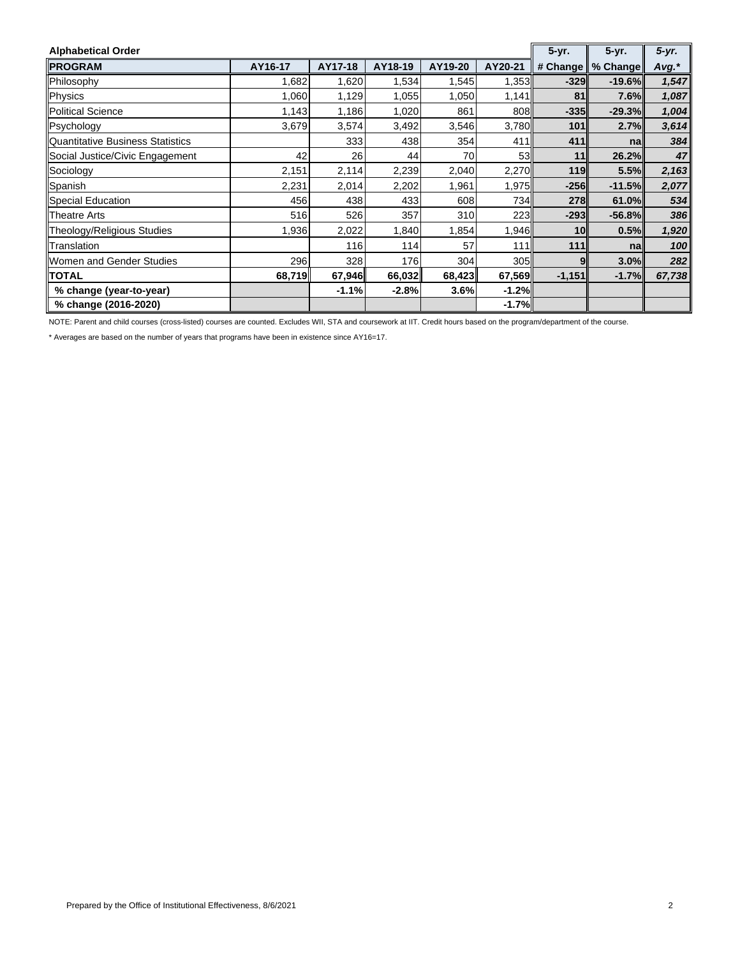| <b>Alphabetical Order</b>        | 5-yr.   | 5-yr.   | $5-yr.$ |         |         |                 |          |        |
|----------------------------------|---------|---------|---------|---------|---------|-----------------|----------|--------|
| <b>PROGRAM</b>                   | AY16-17 | AY17-18 | AY18-19 | AY19-20 | AY20-21 | # Change        | % Change | Avg.*  |
| Philosophy                       | 1,682   | 1,620   | 1,534   | 1,545   | 1,353   | $-329$          | $-19.6%$ | 1,547  |
| Physics                          | 1,060   | 1,129   | 1,055   | 1,050   | 1,141   | 81              | 7.6%     | 1,087  |
| <b>Political Science</b>         | 1,143   | 1,186   | 1,020   | 861     | 808     | $-335$          | $-29.3%$ | 1,004  |
| Psychology                       | 3,679   | 3,574   | 3,492   | 3,546   | 3,780   | 101             | 2.7%     | 3,614  |
| Quantitative Business Statistics |         | 333     | 438     | 354     | 411     | 411             | na       | 384    |
| Social Justice/Civic Engagement  | 42      | 26      | 44      | 70      | 53      | 11              | 26.2%    | 47     |
| Sociology                        | 2,151   | 2,114   | 2,239   | 2,040   | 2,270   | 119             | 5.5%     | 2,163  |
| Spanish                          | 2,231   | 2,014   | 2,202   | 1,961   | 1,975   | $-256$          | $-11.5%$ | 2,077  |
| Special Education                | 456     | 438     | 433     | 608     | 734     | <b>278</b>      | 61.0%    | 534    |
| <b>Theatre Arts</b>              | 516     | 526     | 357     | 310     | 223     | $-293$          | $-56.8%$ | 386    |
| Theology/Religious Studies       | 1,936   | 2,022   | 1,840   | 1,854   | 1,946   | 10 <sub>l</sub> | 0.5%     | 1,920  |
| Translation                      |         | 116     | 114     | 57      | 111     | 111             | na       | 100    |
| Women and Gender Studies         | 296     | 328     | 176     | 304     | 305     | 9               | 3.0%     | 282    |
| <b>TOTAL</b>                     | 68,719  | 67,946  | 66,032  | 68,423  | 67,569  | $-1,151$        | $-1.7%$  | 67,738 |
| % change (year-to-year)          |         | $-1.1%$ | $-2.8%$ | 3.6%    | $-1.2%$ |                 |          |        |
| % change (2016-2020)             |         |         |         |         | $-1.7%$ |                 |          |        |

NOTE: Parent and child courses (cross-listed) courses are counted. Excludes WII, STA and coursework at IIT. Credit hours based on the program/department of the course.

\* Averages are based on the number of years that programs have been in existence since AY16=17.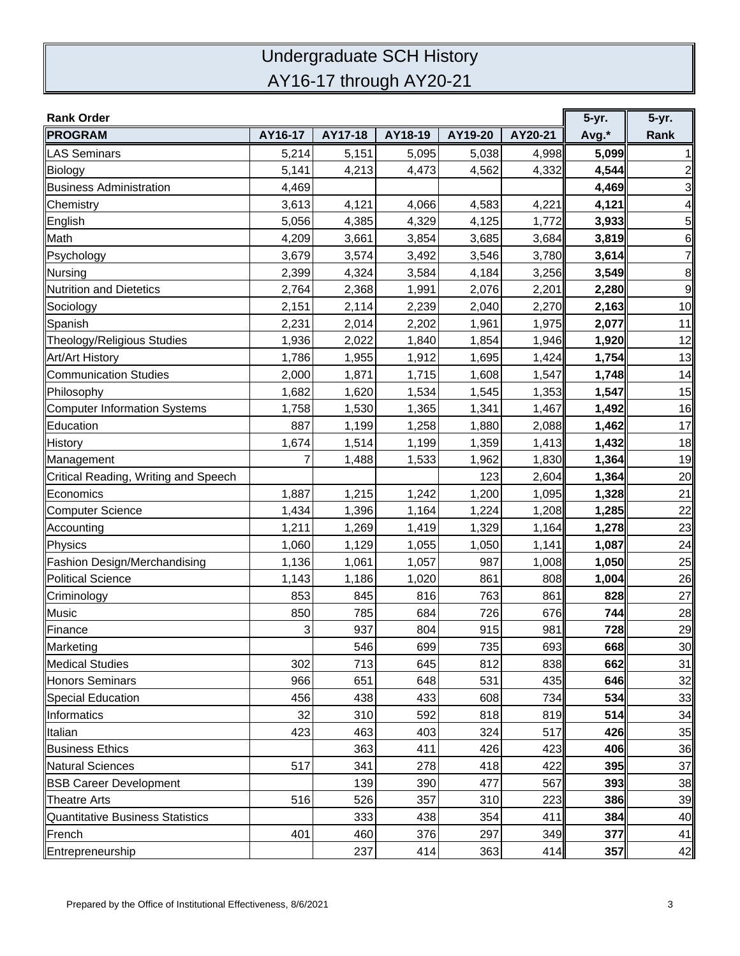## Undergraduate SCH History AY16-17 through AY20-21

| <b>Rank Order</b>                    |         |         |         |         |         | 5-yr. | 5-yr.          |
|--------------------------------------|---------|---------|---------|---------|---------|-------|----------------|
| <b>PROGRAM</b>                       | AY16-17 | AY17-18 | AY18-19 | AY19-20 | AY20-21 | Avg.* | Rank           |
| <b>LAS Seminars</b>                  | 5,214   | 5,151   | 5,095   | 5,038   | 4,998   | 5,099 |                |
| Biology                              | 5,141   | 4,213   | 4,473   | 4,562   | 4,332   | 4,544 | 2              |
| <b>Business Administration</b>       | 4,469   |         |         |         |         | 4,469 | 3              |
| Chemistry                            | 3,613   | 4,121   | 4,066   | 4,583   | 4,221   | 4,121 | 4              |
| English                              | 5,056   | 4,385   | 4,329   | 4,125   | 1,772   | 3,933 | 5              |
| Math                                 | 4,209   | 3,661   | 3,854   | 3,685   | 3,684   | 3,819 | $\,$ 6         |
| Psychology                           | 3,679   | 3,574   | 3,492   | 3,546   | 3,780   | 3,614 | $\overline{7}$ |
| Nursing                              | 2,399   | 4,324   | 3,584   | 4,184   | 3,256   | 3,549 | 8              |
| Nutrition and Dietetics              | 2,764   | 2,368   | 1,991   | 2,076   | 2,201   | 2,280 | $\overline{9}$ |
| Sociology                            | 2,151   | 2,114   | 2,239   | 2,040   | 2,270   | 2,163 | 10             |
| Spanish                              | 2,231   | 2,014   | 2,202   | 1,961   | 1,975   | 2,077 | 11             |
| Theology/Religious Studies           | 1,936   | 2,022   | 1,840   | 1,854   | 1,946   | 1,920 | 12             |
| Art/Art History                      | 1,786   | 1,955   | 1,912   | 1,695   | 1,424   | 1,754 | 13             |
| Communication Studies                | 2,000   | 1,871   | 1,715   | 1,608   | 1,547   | 1,748 | 14             |
| Philosophy                           | 1,682   | 1,620   | 1,534   | 1,545   | 1,353   | 1,547 | 15             |
| Computer Information Systems         | 1,758   | 1,530   | 1,365   | 1,341   | 1,467   | 1,492 | 16             |
| Education                            | 887     | 1,199   | 1,258   | 1,880   | 2,088   | 1,462 | 17             |
| History                              | 1,674   | 1,514   | 1,199   | 1,359   | 1,413   | 1,432 | 18             |
| Management                           | 7       | 1,488   | 1,533   | 1,962   | 1,830   | 1,364 | 19             |
| Critical Reading, Writing and Speech |         |         |         | 123     | 2,604   | 1,364 | 20             |
| Economics                            | 1,887   | 1,215   | 1,242   | 1,200   | 1,095   | 1,328 | 21             |
| Computer Science                     | 1,434   | 1,396   | 1,164   | 1,224   | 1,208   | 1,285 | 22             |
| Accounting                           | 1,211   | 1,269   | 1,419   | 1,329   | 1,164   | 1,278 | 23             |
| Physics                              | 1,060   | 1,129   | 1,055   | 1,050   | 1,141   | 1,087 | 24             |
| Fashion Design/Merchandising         | 1,136   | 1,061   | 1,057   | 987     | 1,008   | 1,050 | 25             |
| Political Science                    | 1,143   | 1,186   | 1,020   | 861     | 808     | 1,004 | 26             |
| Criminology                          | 853     | 845     | 816     | 763     | 861     | 828   | 27             |
| <b>Music</b>                         | 850     | 785     | 684     | 726     | 676     | 744   | 28             |
| Finance                              | 3       | 937     | 804     | 915     | 981     | 728   | 29             |
| Marketing                            |         | 546     | 699     | 735     | 693     | 668   | 30             |
| <b>Medical Studies</b>               | 302     | 713     | 645     | 812     | 838     | 662   | 31             |
| <b>Honors Seminars</b>               | 966     | 651     | 648     | 531     | 435     | 646   | 32             |
| Special Education                    | 456     | 438     | 433     | 608     | 734     | 534   | 33             |
| Informatics                          | 32      | 310     | 592     | 818     | 819     | 514   | 34             |
| Italian                              | 423     | 463     | 403     | 324     | 517     | 426   | 35             |
| <b>Business Ethics</b>               |         | 363     | 411     | 426     | 423     | 406   | 36             |
| Natural Sciences                     | 517     | 341     | 278     | 418     | 422     | 395   | 37             |
| <b>BSB Career Development</b>        |         | 139     | 390     | 477     | 567     | 393   | 38             |
| <b>Theatre Arts</b>                  | 516     | 526     | 357     | 310     | 223     | 386   | 39             |
| Quantitative Business Statistics     |         | 333     | 438     | 354     | 411     | 384   | 40             |
| French                               | 401     | 460     | 376     | 297     | 349     | 377   | 41             |
| Entrepreneurship                     |         | 237     | 414     | 363     | 414     | 357   | 42             |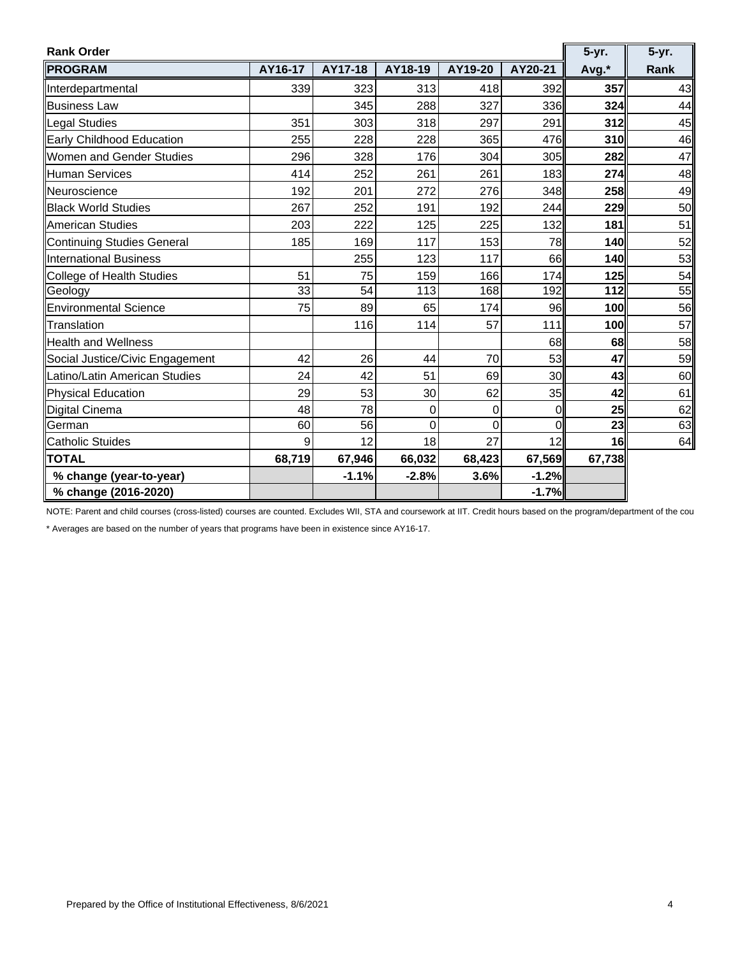| <b>Rank Order</b>               |         |         |              |                |          | 5-yr.  | 5-yr. |
|---------------------------------|---------|---------|--------------|----------------|----------|--------|-------|
| <b>PROGRAM</b>                  | AY16-17 | AY17-18 | AY18-19      | AY19-20        | AY20-21  | Avg.*  | Rank  |
| Interdepartmental               | 339     | 323     | 313          | 418            | 392      | 357    | 43    |
| <b>Business Law</b>             |         | 345     | 288          | 327            | 336      | 324    | 44    |
| Legal Studies                   | 351     | 303     | 318          | 297            | 291      | 312    | 45    |
| Early Childhood Education       | 255     | 228     | 228          | 365            | 476      | 310    | 46    |
| Women and Gender Studies        | 296     | 328     | 176          | 304            | 305      | 282    | 47    |
| Human Services                  | 414     | 252     | 261          | 261            | 183      | 274    | 48    |
| <b>Neuroscience</b>             | 192     | 201     | 272          | 276            | 348      | 258    | 49    |
| <b>Black World Studies</b>      | 267     | 252     | 191          | 192            | 244      | 229    | 50    |
| <b>American Studies</b>         | 203     | 222     | 125          | 225            | 132      | 181    | 51    |
| Continuing Studies General      | 185     | 169     | 117          | 153            | 78       | 140    | 52    |
| International Business          |         | 255     | 123          | 117            | 66       | 140    | 53    |
| College of Health Studies       | 51      | 75      | 159          | 166            | 174      | 125    | 54    |
| Geology                         | 33      | 54      | 113          | 168            | 192      | 112    | 55    |
| <b>Environmental Science</b>    | 75      | 89      | 65           | 174            | 96       | 100    | 56    |
| Translation                     |         | 116     | 114          | 57             | 111      | 100    | 57    |
| <b>Health and Wellness</b>      |         |         |              |                | 68       | 68     | 58    |
| Social Justice/Civic Engagement | 42      | 26      | 44           | 70             | 53       | 47     | 59    |
| Latino/Latin American Studies   | 24      | 42      | 51           | 69             | 30       | 43     | 60    |
| Physical Education              | 29      | 53      | 30           | 62             | 35       | 42     | 61    |
| Digital Cinema                  | 48      | 78      | $\mathbf{0}$ | 0              | Οl       | 25     | 62    |
| German                          | 60      | 56      | $\Omega$     | $\overline{0}$ | $\Omega$ | 23     | 63    |
| <b>Catholic Stuides</b>         | 9       | 12      | 18           | 27             | 12       | 16     | 64    |
| <b>TOTAL</b>                    | 68,719  | 67,946  | 66,032       | 68,423         | 67,569   | 67,738 |       |
| % change (year-to-year)         |         | $-1.1%$ | $-2.8%$      | 3.6%           | $-1.2%$  |        |       |
| % change (2016-2020)            |         |         |              |                | $-1.7%$  |        |       |

NOTE: Parent and child courses (cross-listed) courses are counted. Excludes WII, STA and coursework at IIT. Credit hours based on the program/department of the cou

\* Averages are based on the number of years that programs have been in existence since AY16-17.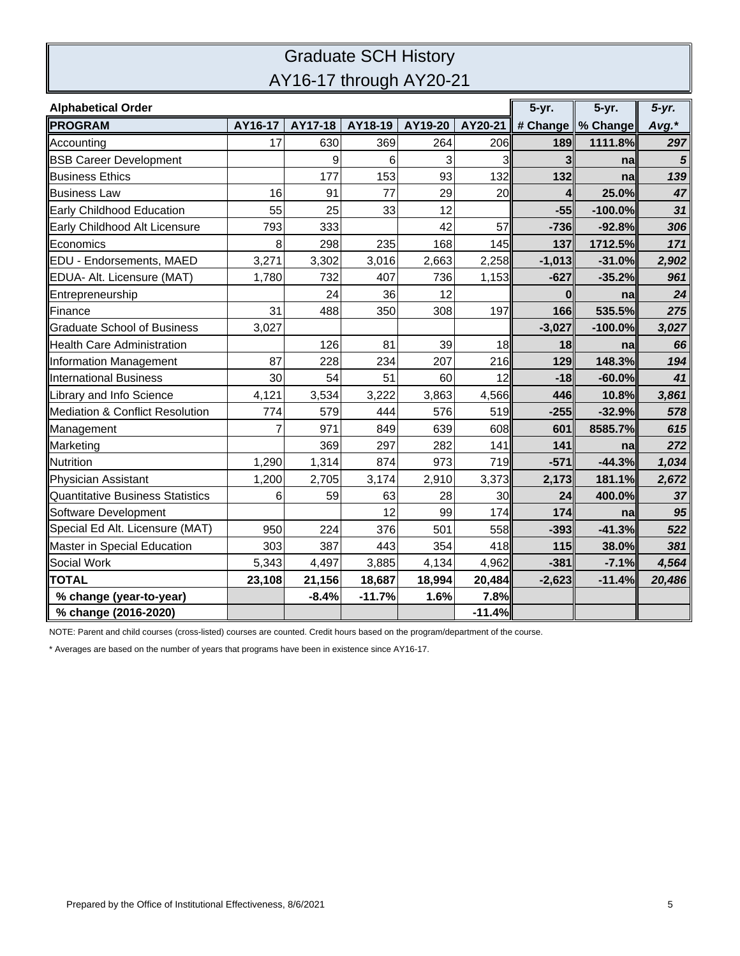## Graduate SCH History AY16-17 through AY20-21

| <b>Alphabetical Order</b>                  |         |         |          |         |          | 5-yr.    | 5-yr.               | $5-yr.$ |
|--------------------------------------------|---------|---------|----------|---------|----------|----------|---------------------|---------|
| <b>PROGRAM</b>                             | AY16-17 | AY17-18 | AY18-19  | AY19-20 | AY20-21  |          | # Change   % Change | Avg.*   |
| Accounting                                 | 17      | 630     | 369      | 264     | 206      | 189      | 1111.8%             | 297     |
| <b>BSB Career Development</b>              |         | 9       | 6        | 3       | 3        | 3        | na                  | 5       |
| <b>Business Ethics</b>                     |         | 177     | 153      | 93      | 132      | 132      | na                  | 139     |
| <b>Business Law</b>                        | 16      | 91      | 77       | 29      | 20       | 4        | 25.0%               | 47      |
| Early Childhood Education                  | 55      | 25      | 33       | 12      |          | $-55$    | $-100.0%$           | 31      |
| Early Childhood Alt Licensure              | 793     | 333     |          | 42      | 57       | $-736$   | $-92.8%$            | 306     |
| Economics                                  | 8       | 298     | 235      | 168     | 145      | 137      | 1712.5%             | 171     |
| <b>EDU - Endorsements, MAED</b>            | 3,271   | 3,302   | 3,016    | 2,663   | 2,258    | $-1,013$ | $-31.0%$            | 2,902   |
| EDUA- Alt. Licensure (MAT)                 | 1,780   | 732     | 407      | 736     | 1,153    | $-627$   | $-35.2%$            | 961     |
| Entrepreneurship                           |         | 24      | 36       | 12      |          | 0        | na                  | 24      |
| <b>IFinance</b>                            | 31      | 488     | 350      | 308     | 197      | 166      | 535.5%              | 275     |
| <b>Graduate School of Business</b>         | 3,027   |         |          |         |          | $-3,027$ | $-100.0%$           | 3,027   |
| <b>Health Care Administration</b>          |         | 126     | 81       | 39      | 18       | 18       | na                  | 66      |
| Information Management                     | 87      | 228     | 234      | 207     | 216      | 129      | 148.3%              | 194     |
| International Business                     | 30      | 54      | 51       | 60      | 12       | $-18$    | $-60.0%$            | 41      |
| Library and Info Science                   | 4,121   | 3,534   | 3,222    | 3,863   | 4,566    | 446      | 10.8%               | 3,861   |
| <b>Mediation &amp; Conflict Resolution</b> | 774     | 579     | 444      | 576     | 519      | $-255$   | $-32.9%$            | 578     |
| Management                                 | 7       | 971     | 849      | 639     | 608      | 601      | 8585.7%             | 615     |
| Marketing                                  |         | 369     | 297      | 282     | 141      | 141      | na                  | 272     |
| Nutrition                                  | 1,290   | 1,314   | 874      | 973     | 719      | $-571$   | $-44.3%$            | 1,034   |
| Physician Assistant                        | 1,200   | 2,705   | 3,174    | 2,910   | 3,373    | 2,173    | 181.1%              | 2,672   |
| Quantitative Business Statistics           | 6       | 59      | 63       | 28      | 30       | 24       | 400.0%              | 37      |
| Software Development                       |         |         | 12       | 99      | 174      | 174      | nal                 | 95      |
| Special Ed Alt. Licensure (MAT)            | 950     | 224     | 376      | 501     | 558      | $-393$   | $-41.3%$            | 522     |
| Master in Special Education                | 303     | 387     | 443      | 354     | 418      | 115      | 38.0%               | 381     |
| Social Work                                | 5,343   | 4,497   | 3,885    | 4,134   | 4,962    | $-381$   | $-7.1%$             | 4,564   |
| <b>TOTAL</b>                               | 23,108  | 21,156  | 18,687   | 18,994  | 20,484   | $-2,623$ | $-11.4%$            | 20,486  |
| % change (year-to-year)                    |         | $-8.4%$ | $-11.7%$ | 1.6%    | 7.8%     |          |                     |         |
| % change (2016-2020)                       |         |         |          |         | $-11.4%$ |          |                     |         |

NOTE: Parent and child courses (cross-listed) courses are counted. Credit hours based on the program/department of the course.

\* Averages are based on the number of years that programs have been in existence since AY16-17.